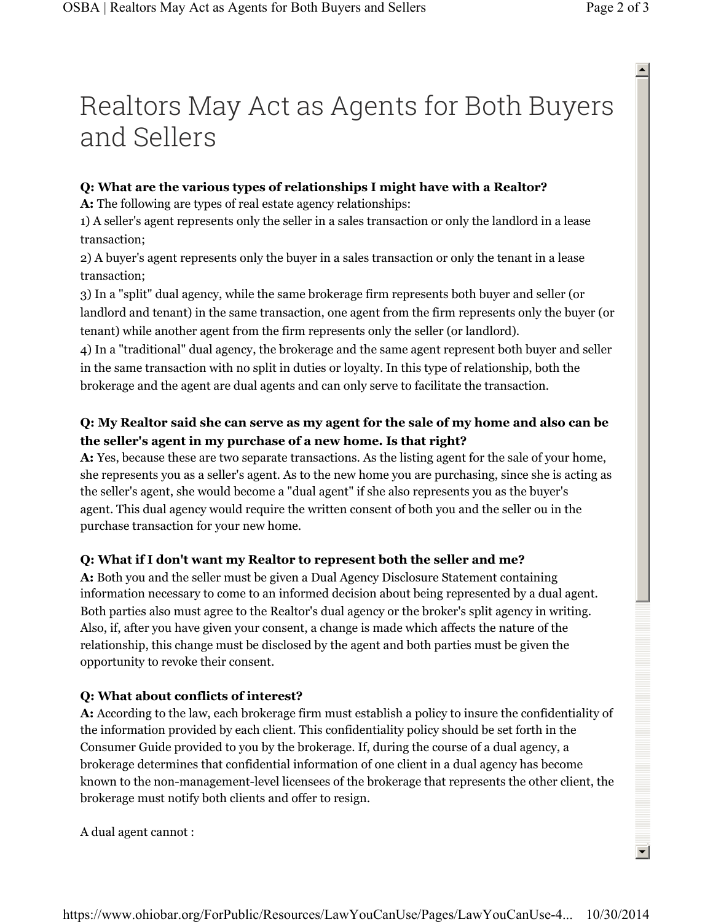# Realtors May Act as Agents for Both Buyers and Sellers

#### **Q: What are the various types of relationships I might have with a Realtor?**

**A:** The following are types of real estate agency relationships:

1) A seller's agent represents only the seller in a sales transaction or only the landlord in a lease transaction;

2) A buyer's agent represents only the buyer in a sales transaction or only the tenant in a lease transaction;

3) In a "split" dual agency, while the same brokerage firm represents both buyer and seller (or landlord and tenant) in the same transaction, one agent from the firm represents only the buyer (or tenant) while another agent from the firm represents only the seller (or landlord).

4) In a "traditional" dual agency, the brokerage and the same agent represent both buyer and seller in the same transaction with no split in duties or loyalty. In this type of relationship, both the brokerage and the agent are dual agents and can only serve to facilitate the transaction.

### **Q: My Realtor said she can serve as my agent for the sale of my home and also can be the seller's agent in my purchase of a new home. Is that right?**

**A:** Yes, because these are two separate transactions. As the listing agent for the sale of your home, she represents you as a seller's agent. As to the new home you are purchasing, since she is acting as the seller's agent, she would become a "dual agent" if she also represents you as the buyer's agent. This dual agency would require the written consent of both you and the seller ou in the purchase transaction for your new home.

## **Q: What if I don't want my Realtor to represent both the seller and me?**

**A:** Both you and the seller must be given a Dual Agency Disclosure Statement containing information necessary to come to an informed decision about being represented by a dual agent. Both parties also must agree to the Realtor's dual agency or the broker's split agency in writing. Also, if, after you have given your consent, a change is made which affects the nature of the relationship, this change must be disclosed by the agent and both parties must be given the opportunity to revoke their consent.

## **Q: What about conflicts of interest?**

**A:** According to the law, each brokerage firm must establish a policy to insure the confidentiality of the information provided by each client. This confidentiality policy should be set forth in the Consumer Guide provided to you by the brokerage. If, during the course of a dual agency, a brokerage determines that confidential information of one client in a dual agency has become known to the non-management-level licensees of the brokerage that represents the other client, the brokerage must notify both clients and offer to resign.

 $\blacktriangle$